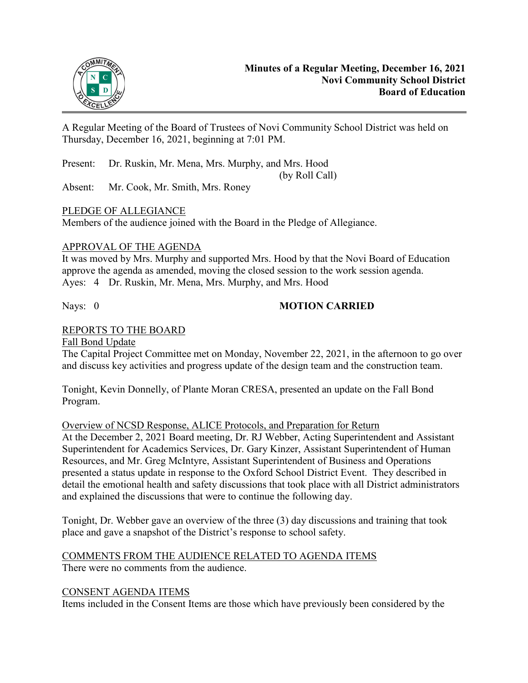

A Regular Meeting of the Board of Trustees of Novi Community School District was held on Thursday, December 16, 2021, beginning at 7:01 PM.

Present: Dr. Ruskin, Mr. Mena, Mrs. Murphy, and Mrs. Hood

(by Roll Call)

Absent: Mr. Cook, Mr. Smith, Mrs. Roney

# PLEDGE OF ALLEGIANCE

Members of the audience joined with the Board in the Pledge of Allegiance.

# APPROVAL OF THE AGENDA

It was moved by Mrs. Murphy and supported Mrs. Hood by that the Novi Board of Education approve the agenda as amended, moving the closed session to the work session agenda. Ayes: 4 Dr. Ruskin, Mr. Mena, Mrs. Murphy, and Mrs. Hood

# Nays: 0 **MOTION CARRIED**

# REPORTS TO THE BOARD

### Fall Bond Update

The Capital Project Committee met on Monday, November 22, 2021, in the afternoon to go over and discuss key activities and progress update of the design team and the construction team.

Tonight, Kevin Donnelly, of Plante Moran CRESA, presented an update on the Fall Bond Program.

Overview of NCSD Response, ALICE Protocols, and Preparation for Return

At the December 2, 2021 Board meeting, Dr. RJ Webber, Acting Superintendent and Assistant Superintendent for Academics Services, Dr. Gary Kinzer, Assistant Superintendent of Human Resources, and Mr. Greg McIntyre, Assistant Superintendent of Business and Operations presented a status update in response to the Oxford School District Event. They described in detail the emotional health and safety discussions that took place with all District administrators and explained the discussions that were to continue the following day.

Tonight, Dr. Webber gave an overview of the three (3) day discussions and training that took place and gave a snapshot of the District's response to school safety.

# COMMENTS FROM THE AUDIENCE RELATED TO AGENDA ITEMS

There were no comments from the audience.

# CONSENT AGENDA ITEMS

Items included in the Consent Items are those which have previously been considered by the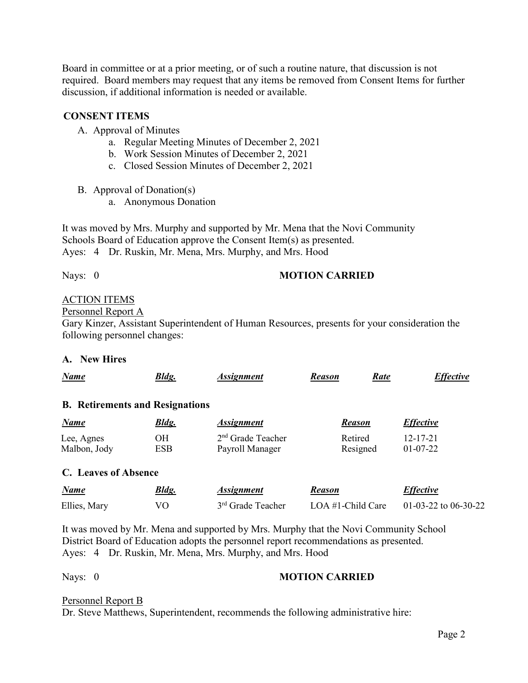Board in committee or at a prior meeting, or of such a routine nature, that discussion is not required. Board members may request that any items be removed from Consent Items for further discussion, if additional information is needed or available.

#### **CONSENT ITEMS**

A. Approval of Minutes

- a. Regular Meeting Minutes of December 2, 2021
- b. Work Session Minutes of December 2, 2021
- c. Closed Session Minutes of December 2, 2021
- B. Approval of Donation(s)
	- a. Anonymous Donation

It was moved by Mrs. Murphy and supported by Mr. Mena that the Novi Community Schools Board of Education approve the Consent Item(s) as presented. Ayes: 4 Dr. Ruskin, Mr. Mena, Mrs. Murphy, and Mrs. Hood

# Nays: 0 **MOTION CARRIED**

# ACTION ITEMS

#### Personnel Report A

Gary Kinzer, Assistant Superintendent of Human Resources, presents for your consideration the following personnel changes:

#### **A. New Hires**

| <b>Name</b>                            | <b>Bldg.</b> | <b>Assignment</b>             | Rate<br><b>Reason</b> | <b>Effective</b>         |
|----------------------------------------|--------------|-------------------------------|-----------------------|--------------------------|
| <b>B.</b> Retirements and Resignations |              |                               |                       |                          |
| Name                                   | <b>Bldg.</b> | <i><b>Assignment</b></i>      | <b>Reason</b>         | <i>Effective</i>         |
| Lee, Agnes                             | <b>OH</b>    | $2nd$ Grade Teacher           | Retired               | $12 - 17 - 21$           |
| Malbon, Jody                           | <b>ESB</b>   | Payroll Manager               | Resigned              | $01-07-22$               |
| C. Leaves of Absence                   |              |                               |                       |                          |
| Name                                   | <b>Bldg.</b> | <b>Assignment</b>             | <b>Reason</b>         | <b>Effective</b>         |
| Ellies, Mary                           | VO           | 3 <sup>rd</sup> Grade Teacher | LOA $#1$ -Child Care  | $01-03-22$ to $06-30-22$ |
|                                        |              |                               |                       |                          |

It was moved by Mr. Mena and supported by Mrs. Murphy that the Novi Community School District Board of Education adopts the personnel report recommendations as presented. Ayes: 4 Dr. Ruskin, Mr. Mena, Mrs. Murphy, and Mrs. Hood

# Nays: 0 **MOTION CARRIED**

#### Personnel Report B

Dr. Steve Matthews, Superintendent, recommends the following administrative hire: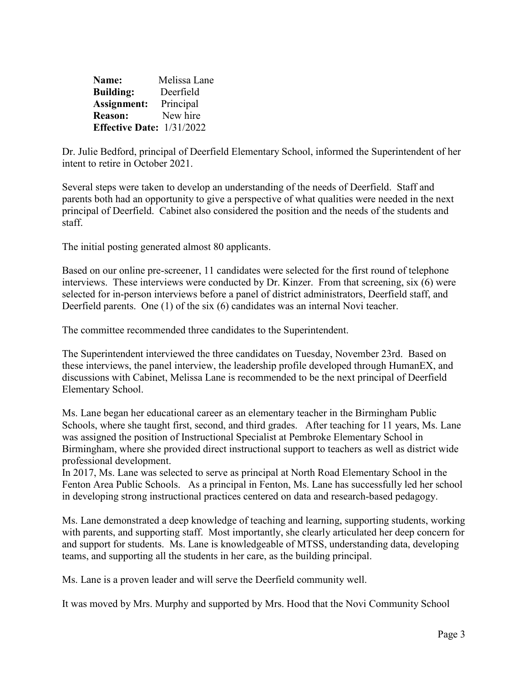| Name:                              | Melissa Lane |
|------------------------------------|--------------|
| <b>Building:</b>                   | Deerfield    |
| Assignment:                        | Principal    |
| <b>Reason:</b>                     | New hire     |
| <b>Effective Date:</b> $1/31/2022$ |              |

Dr. Julie Bedford, principal of Deerfield Elementary School, informed the Superintendent of her intent to retire in October 2021.

Several steps were taken to develop an understanding of the needs of Deerfield. Staff and parents both had an opportunity to give a perspective of what qualities were needed in the next principal of Deerfield. Cabinet also considered the position and the needs of the students and staff.

The initial posting generated almost 80 applicants.

Based on our online pre-screener, 11 candidates were selected for the first round of telephone interviews. These interviews were conducted by Dr. Kinzer. From that screening, six (6) were selected for in-person interviews before a panel of district administrators, Deerfield staff, and Deerfield parents. One (1) of the six (6) candidates was an internal Novi teacher.

The committee recommended three candidates to the Superintendent.

The Superintendent interviewed the three candidates on Tuesday, November 23rd. Based on these interviews, the panel interview, the leadership profile developed through HumanEX, and discussions with Cabinet, Melissa Lane is recommended to be the next principal of Deerfield Elementary School.

Ms. Lane began her educational career as an elementary teacher in the Birmingham Public Schools, where she taught first, second, and third grades. After teaching for 11 years, Ms. Lane was assigned the position of Instructional Specialist at Pembroke Elementary School in Birmingham, where she provided direct instructional support to teachers as well as district wide professional development.

In 2017, Ms. Lane was selected to serve as principal at North Road Elementary School in the Fenton Area Public Schools. As a principal in Fenton, Ms. Lane has successfully led her school in developing strong instructional practices centered on data and research-based pedagogy.

Ms. Lane demonstrated a deep knowledge of teaching and learning, supporting students, working with parents, and supporting staff. Most importantly, she clearly articulated her deep concern for and support for students. Ms. Lane is knowledgeable of MTSS, understanding data, developing teams, and supporting all the students in her care, as the building principal.

Ms. Lane is a proven leader and will serve the Deerfield community well.

It was moved by Mrs. Murphy and supported by Mrs. Hood that the Novi Community School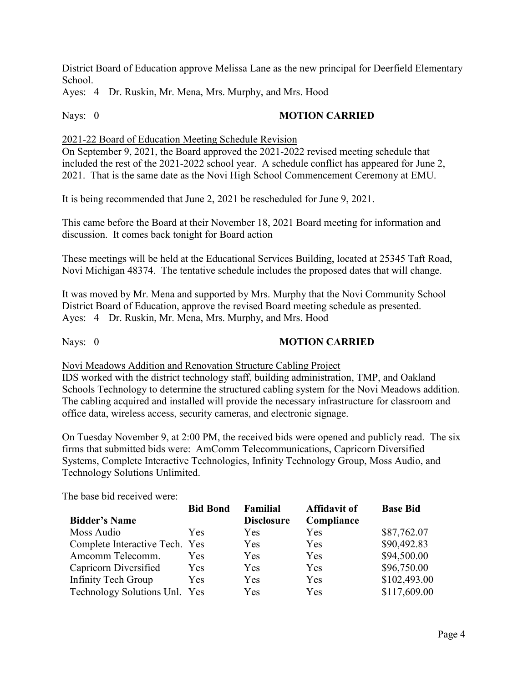District Board of Education approve Melissa Lane as the new principal for Deerfield Elementary School.

Ayes: 4 Dr. Ruskin, Mr. Mena, Mrs. Murphy, and Mrs. Hood

# Nays: 0 **MOTION CARRIED**

2021-22 Board of Education Meeting Schedule Revision

On September 9, 2021, the Board approved the 2021-2022 revised meeting schedule that included the rest of the 2021-2022 school year. A schedule conflict has appeared for June 2, 2021. That is the same date as the Novi High School Commencement Ceremony at EMU.

It is being recommended that June 2, 2021 be rescheduled for June 9, 2021.

This came before the Board at their November 18, 2021 Board meeting for information and discussion. It comes back tonight for Board action

These meetings will be held at the Educational Services Building, located at 25345 Taft Road, Novi Michigan 48374. The tentative schedule includes the proposed dates that will change.

It was moved by Mr. Mena and supported by Mrs. Murphy that the Novi Community School District Board of Education, approve the revised Board meeting schedule as presented. Ayes: 4 Dr. Ruskin, Mr. Mena, Mrs. Murphy, and Mrs. Hood

# Nays: 0 **MOTION CARRIED**

Novi Meadows Addition and Renovation Structure Cabling Project

IDS worked with the district technology staff, building administration, TMP, and Oakland Schools Technology to determine the structured cabling system for the Novi Meadows addition. The cabling acquired and installed will provide the necessary infrastructure for classroom and office data, wireless access, security cameras, and electronic signage.

On Tuesday November 9, at 2:00 PM, the received bids were opened and publicly read. The six firms that submitted bids were: AmComm Telecommunications, Capricorn Diversified Systems, Complete Interactive Technologies, Infinity Technology Group, Moss Audio, and Technology Solutions Unlimited.

The base bid received were:

|                                | <b>Bid Bond</b> | Familial          | <b>Affidavit of</b> | <b>Base Bid</b> |
|--------------------------------|-----------------|-------------------|---------------------|-----------------|
| <b>Bidder's Name</b>           |                 | <b>Disclosure</b> | Compliance          |                 |
| Moss Audio                     | Yes.            | Yes               | Yes                 | \$87,762.07     |
| Complete Interactive Tech. Yes |                 | Yes               | <b>Yes</b>          | \$90,492.83     |
| Amcomm Telecomm.               | Yes             | Yes               | Yes                 | \$94,500.00     |
| Capricorn Diversified          | Yes             | Yes               | Yes                 | \$96,750.00     |
| Infinity Tech Group            | Yes             | Yes               | Yes                 | \$102,493.00    |
| Technology Solutions Unl. Yes  |                 | Yes               | Yes                 | \$117,609.00    |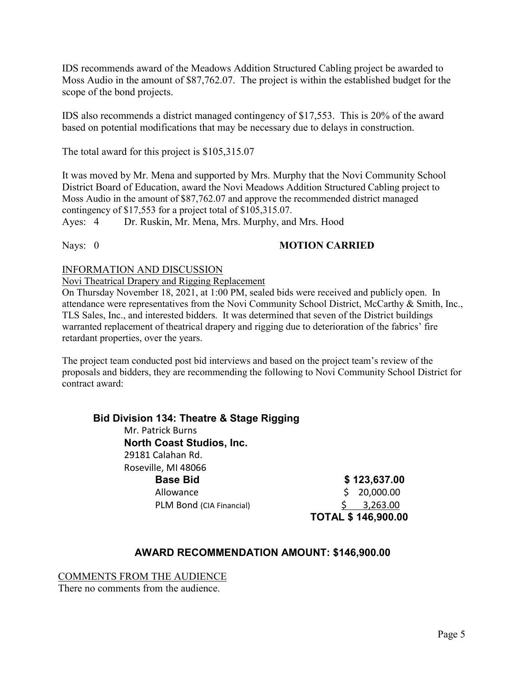IDS recommends award of the Meadows Addition Structured Cabling project be awarded to Moss Audio in the amount of \$87,762.07. The project is within the established budget for the scope of the bond projects.

IDS also recommends a district managed contingency of \$17,553. This is 20% of the award based on potential modifications that may be necessary due to delays in construction.

The total award for this project is \$105,315.07

It was moved by Mr. Mena and supported by Mrs. Murphy that the Novi Community School District Board of Education, award the Novi Meadows Addition Structured Cabling project to Moss Audio in the amount of \$87,762.07 and approve the recommended district managed contingency of \$17,553 for a project total of \$105,315.07.

Ayes: 4 Dr. Ruskin, Mr. Mena, Mrs. Murphy, and Mrs. Hood

#### Nays: 0 **MOTION CARRIED**

#### INFORMATION AND DISCUSSION

Novi Theatrical Drapery and Rigging Replacement

On Thursday November 18, 2021, at 1:00 PM, sealed bids were received and publicly open. In attendance were representatives from the Novi Community School District, McCarthy & Smith, Inc., TLS Sales, Inc., and interested bidders. It was determined that seven of the District buildings warranted replacement of theatrical drapery and rigging due to deterioration of the fabrics' fire retardant properties, over the years.

The project team conducted post bid interviews and based on the project team's review of the proposals and bidders, they are recommending the following to Novi Community School District for contract award:

| Bid Division 134: Theatre & Stage Rigging |                           |
|-------------------------------------------|---------------------------|
| Mr. Patrick Burns                         |                           |
| <b>North Coast Studios, Inc.</b>          |                           |
| 29181 Calahan Rd.                         |                           |
| Roseville, MI 48066                       |                           |
| <b>Base Bid</b>                           | \$123,637.00              |
| Allowance                                 | 20,000.00                 |
| PLM Bond (CIA Financial)                  | 3,263.00                  |
|                                           | <b>TOTAL \$146,900.00</b> |

# **AWARD RECOMMENDATION AMOUNT: \$146,900.00**

COMMENTS FROM THE AUDIENCE

There no comments from the audience.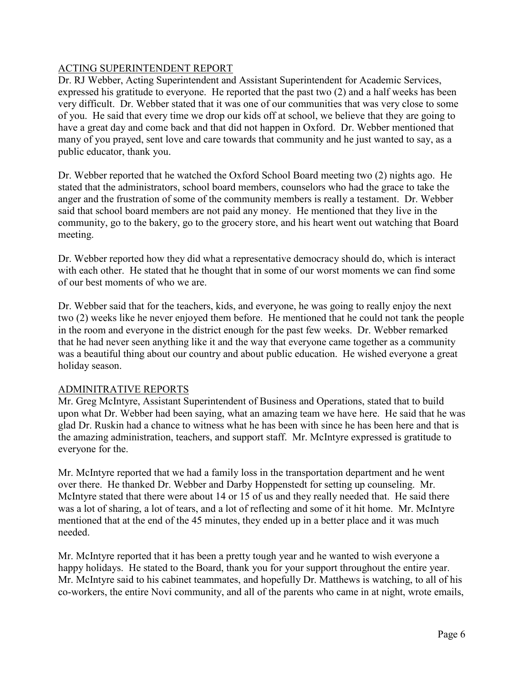# ACTING SUPERINTENDENT REPORT

Dr. RJ Webber, Acting Superintendent and Assistant Superintendent for Academic Services, expressed his gratitude to everyone. He reported that the past two (2) and a half weeks has been very difficult. Dr. Webber stated that it was one of our communities that was very close to some of you. He said that every time we drop our kids off at school, we believe that they are going to have a great day and come back and that did not happen in Oxford. Dr. Webber mentioned that many of you prayed, sent love and care towards that community and he just wanted to say, as a public educator, thank you.

Dr. Webber reported that he watched the Oxford School Board meeting two (2) nights ago. He stated that the administrators, school board members, counselors who had the grace to take the anger and the frustration of some of the community members is really a testament. Dr. Webber said that school board members are not paid any money. He mentioned that they live in the community, go to the bakery, go to the grocery store, and his heart went out watching that Board meeting.

Dr. Webber reported how they did what a representative democracy should do, which is interact with each other. He stated that he thought that in some of our worst moments we can find some of our best moments of who we are.

Dr. Webber said that for the teachers, kids, and everyone, he was going to really enjoy the next two (2) weeks like he never enjoyed them before. He mentioned that he could not tank the people in the room and everyone in the district enough for the past few weeks. Dr. Webber remarked that he had never seen anything like it and the way that everyone came together as a community was a beautiful thing about our country and about public education. He wished everyone a great holiday season.

#### ADMINITRATIVE REPORTS

Mr. Greg McIntyre, Assistant Superintendent of Business and Operations, stated that to build upon what Dr. Webber had been saying, what an amazing team we have here. He said that he was glad Dr. Ruskin had a chance to witness what he has been with since he has been here and that is the amazing administration, teachers, and support staff. Mr. McIntyre expressed is gratitude to everyone for the.

Mr. McIntyre reported that we had a family loss in the transportation department and he went over there. He thanked Dr. Webber and Darby Hoppenstedt for setting up counseling. Mr. McIntyre stated that there were about 14 or 15 of us and they really needed that. He said there was a lot of sharing, a lot of tears, and a lot of reflecting and some of it hit home. Mr. McIntyre mentioned that at the end of the 45 minutes, they ended up in a better place and it was much needed.

Mr. McIntyre reported that it has been a pretty tough year and he wanted to wish everyone a happy holidays. He stated to the Board, thank you for your support throughout the entire year. Mr. McIntyre said to his cabinet teammates, and hopefully Dr. Matthews is watching, to all of his co-workers, the entire Novi community, and all of the parents who came in at night, wrote emails,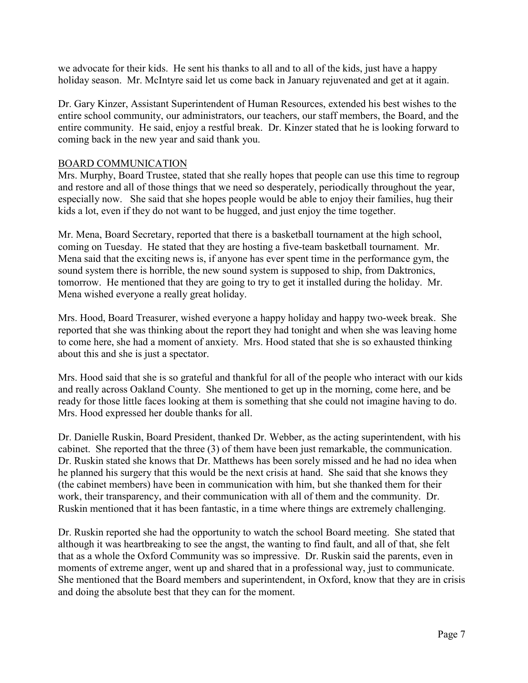we advocate for their kids. He sent his thanks to all and to all of the kids, just have a happy holiday season. Mr. McIntyre said let us come back in January rejuvenated and get at it again.

Dr. Gary Kinzer, Assistant Superintendent of Human Resources, extended his best wishes to the entire school community, our administrators, our teachers, our staff members, the Board, and the entire community. He said, enjoy a restful break. Dr. Kinzer stated that he is looking forward to coming back in the new year and said thank you.

### BOARD COMMUNICATION

Mrs. Murphy, Board Trustee, stated that she really hopes that people can use this time to regroup and restore and all of those things that we need so desperately, periodically throughout the year, especially now. She said that she hopes people would be able to enjoy their families, hug their kids a lot, even if they do not want to be hugged, and just enjoy the time together.

Mr. Mena, Board Secretary, reported that there is a basketball tournament at the high school, coming on Tuesday. He stated that they are hosting a five-team basketball tournament. Mr. Mena said that the exciting news is, if anyone has ever spent time in the performance gym, the sound system there is horrible, the new sound system is supposed to ship, from Daktronics, tomorrow. He mentioned that they are going to try to get it installed during the holiday. Mr. Mena wished everyone a really great holiday.

Mrs. Hood, Board Treasurer, wished everyone a happy holiday and happy two-week break. She reported that she was thinking about the report they had tonight and when she was leaving home to come here, she had a moment of anxiety. Mrs. Hood stated that she is so exhausted thinking about this and she is just a spectator.

Mrs. Hood said that she is so grateful and thankful for all of the people who interact with our kids and really across Oakland County. She mentioned to get up in the morning, come here, and be ready for those little faces looking at them is something that she could not imagine having to do. Mrs. Hood expressed her double thanks for all.

Dr. Danielle Ruskin, Board President, thanked Dr. Webber, as the acting superintendent, with his cabinet. She reported that the three (3) of them have been just remarkable, the communication. Dr. Ruskin stated she knows that Dr. Matthews has been sorely missed and he had no idea when he planned his surgery that this would be the next crisis at hand. She said that she knows they (the cabinet members) have been in communication with him, but she thanked them for their work, their transparency, and their communication with all of them and the community. Dr. Ruskin mentioned that it has been fantastic, in a time where things are extremely challenging.

Dr. Ruskin reported she had the opportunity to watch the school Board meeting. She stated that although it was heartbreaking to see the angst, the wanting to find fault, and all of that, she felt that as a whole the Oxford Community was so impressive. Dr. Ruskin said the parents, even in moments of extreme anger, went up and shared that in a professional way, just to communicate. She mentioned that the Board members and superintendent, in Oxford, know that they are in crisis and doing the absolute best that they can for the moment.